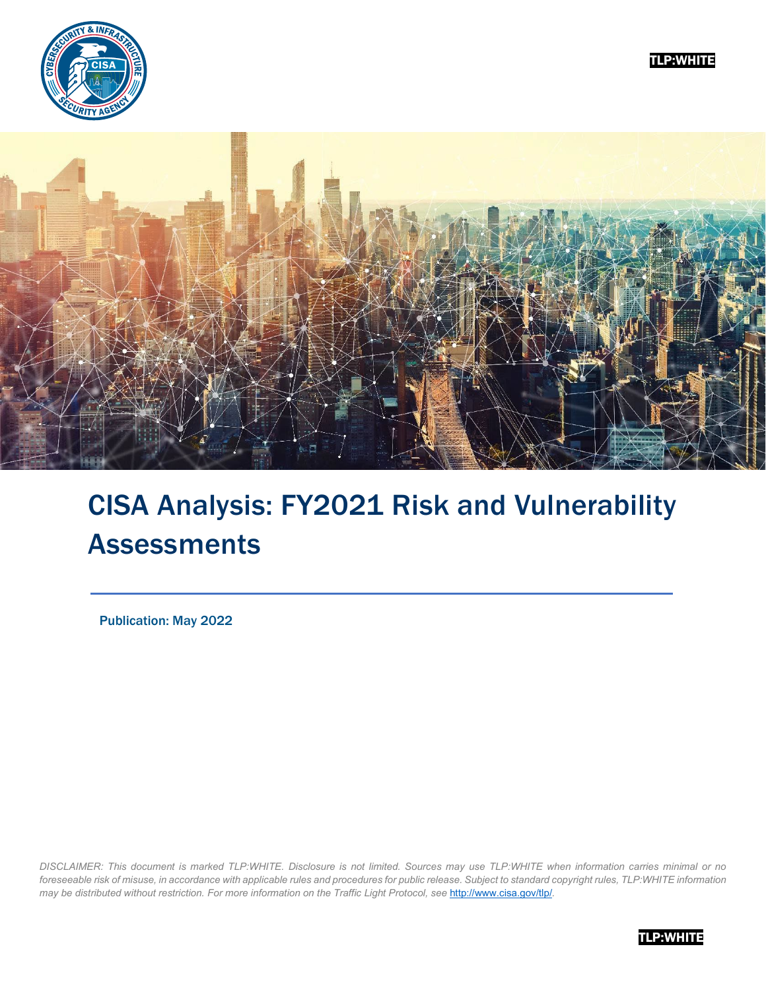





# CISA Analysis: FY2021 Risk and Vulnerability Assessments

Publication: May 2022

*DISCLAIMER: This document is marked TLP:WHITE. Disclosure is not limited. Sources may use TLP:WHITE when information carries minimal or no foreseeable risk of misuse, in accordance with applicable rules and procedures for public release. Subject to standard copyright rules, TLP:WHITE information may be distributed without restriction. For more information on the Traffic Light Protocol, see* <http://www.cisa.gov/tlp/>*.*

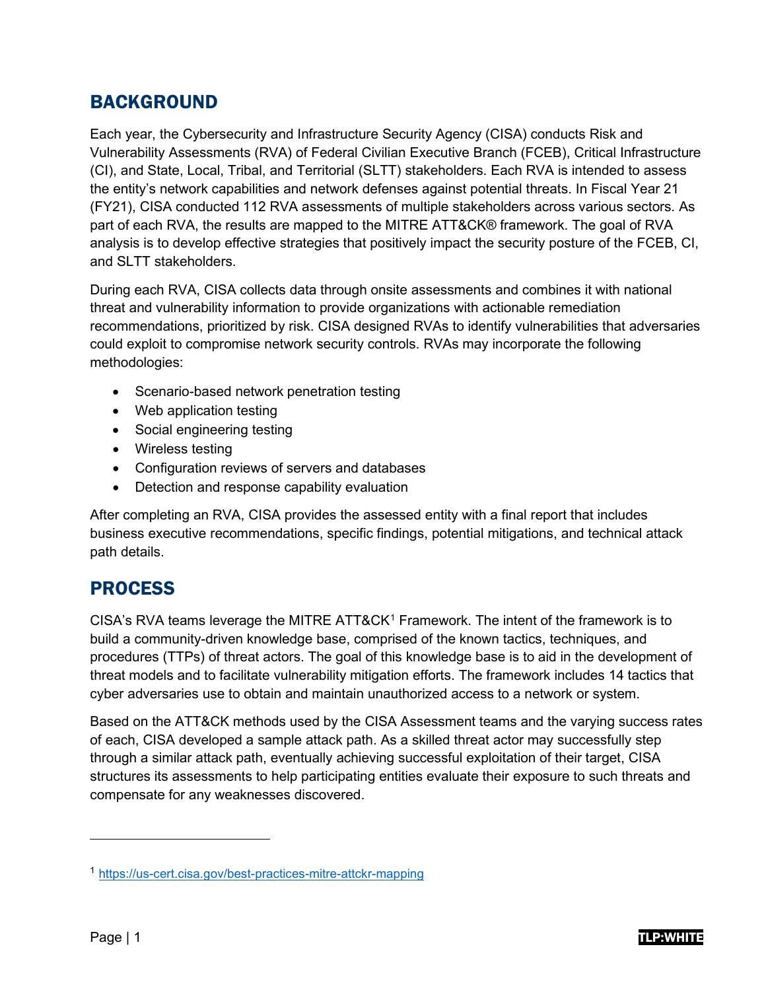## BACKGROUND

Each year, the Cybersecurity and Infrastructure Security Agency (CISA) conducts Risk and Vulnerability Assessments (RVA) of Federal Civilian Executive Branch (FCEB), Critical Infrastructure (CI), and State, Local, Tribal, and Territorial (SLTT) stakeholders. Each RVA is intended to assess the entity's network capabilities and network defenses against potential threats. In Fiscal Year 21 (FY21), CISA conducted 112 RVA assessments of multiple stakeholders across various sectors. As part of each RVA, the results are mapped to the MITRE ATT&CK® framework. The goal of RVA analysis is to develop effective strategies that positively impact the security posture of the FCEB, CI, and SLTT stakeholders.

During each RVA, CISA collects data through onsite assessments and combines it with national threat and vulnerability information to provide organizations with actionable remediation recommendations, prioritized by risk. CISA designed RVAs to identify vulnerabilities that adversaries could exploit to compromise network security controls. RVAs may incorporate the following methodologies:

- Scenario-based network penetration testing
- Web application testing
- Social engineering testing
- Wireless testing
- Configuration reviews of servers and databases
- Detection and response capability evaluation

After completing an RVA, CISA provides the assessed entity with a final report that includes business executive recommendations, specific findings, potential mitigations, and technical attack path details.

## PROCESS

CISA's RVA teams leverage the MITRE ATT&CK<sup>[1](#page-1-0)</sup> Framework. The intent of the framework is to build a community-driven knowledge base, comprised of the known tactics, techniques, and procedures (TTPs) of threat actors. The goal of this knowledge base is to aid in the development of threat models and to facilitate vulnerability mitigation efforts. The framework includes 14 tactics that cyber adversaries use to obtain and maintain unauthorized access to a network or system.

Based on the ATT&CK methods used by the CISA Assessment teams and the varying success rates of each, CISA developed a sample attack path. As a skilled threat actor may successfully step through a similar attack path, eventually achieving successful exploitation of their target, CISA structures its assessments to help participating entities evaluate their exposure to such threats and compensate for any weaknesses discovered.



<span id="page-1-0"></span><sup>1</sup> <https://us-cert.cisa.gov/best-practices-mitre-attckr-mapping>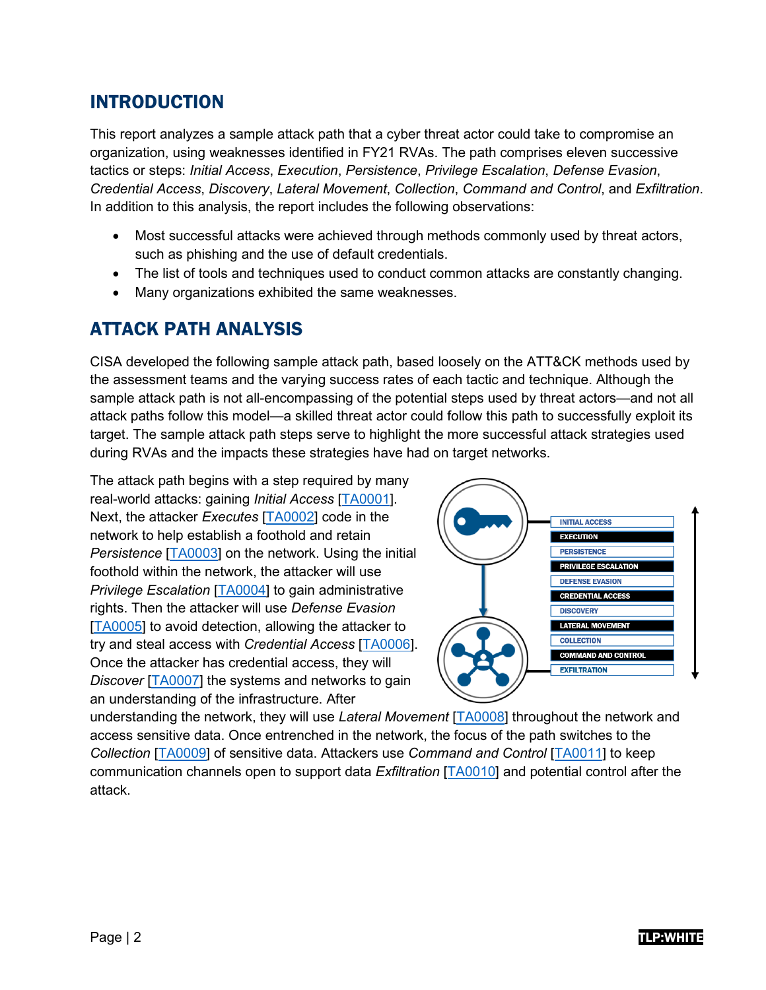## INTRODUCTION

This report analyzes a sample attack path that a cyber threat actor could take to compromise an organization, using weaknesses identified in FY21 RVAs. The path comprises eleven successive tactics or steps: *Initial Access*, *Execution*, *Persistence*, *Privilege Escalation*, *Defense Evasion*, *Credential Access*, *Discovery*, *Lateral Movement*, *Collection*, *Command and Control*, and *Exfiltration*. In addition to this analysis, the report includes the following observations:

- Most successful attacks were achieved through methods commonly used by threat actors, such as phishing and the use of default credentials.
- The list of tools and techniques used to conduct common attacks are constantly changing.
- Many organizations exhibited the same weaknesses.

## ATTACK PATH ANALYSIS

CISA developed the following sample attack path, based loosely on the ATT&CK methods used by the assessment teams and the varying success rates of each tactic and technique. Although the sample attack path is not all-encompassing of the potential steps used by threat actors—and not all attack paths follow this model—a skilled threat actor could follow this path to successfully exploit its target. The sample attack path steps serve to highlight the more successful attack strategies used during RVAs and the impacts these strategies have had on target networks.

The attack path begins with a step required by many real-world attacks: gaining *Initial Access* [\[TA0001\]](https://attack.mitre.org/versions/v10/tactics/TA0001/). Next, the attacker *Executes* [\[TA0002\]](https://attack.mitre.org/versions/v10/tactics/TA0002/) code in the network to help establish a foothold and retain *Persistence* [\[TA0003\]](https://attack.mitre.org/versions/v10/tactics/TA0003/) on the network. Using the initial foothold within the network, the attacker will use *Privilege Escalation* [\[TA0004\]](https://attack.mitre.org/versions/v10/tactics/TA0004/) to gain administrative rights. Then the attacker will use *Defense Evasion* [\[TA0005\]](https://attack.mitre.org/versions/v10/tactics/TA0005/) to avoid detection, allowing the attacker to try and steal access with *Credential Access* [\[TA0006\]](https://attack.mitre.org/versions/v10/tactics/TA0006/). Once the attacker has credential access, they will *Discover* [\[TA0007\]](https://attack.mitre.org/versions/v10/tactics/TA0007/) the systems and networks to gain an understanding of the infrastructure. After



understanding the network, they will use *Lateral Movement* [\[TA0008\]](https://attack.mitre.org/versions/v10/tactics/TA0008/) throughout the network and access sensitive data. Once entrenched in the network, the focus of the path switches to the *Collection* [\[TA0009\]](https://attack.mitre.org/versions/v10/tactics/TA0009/) of sensitive data. Attackers use *Command and Control* [\[TA0011\]](https://attack.mitre.org/versions/v10/tactics/TA0011/) to keep communication channels open to support data *Exfiltration* [\[TA0010\]](https://attack.mitre.org/versions/v10/tactics/TA0010/) and potential control after the attack.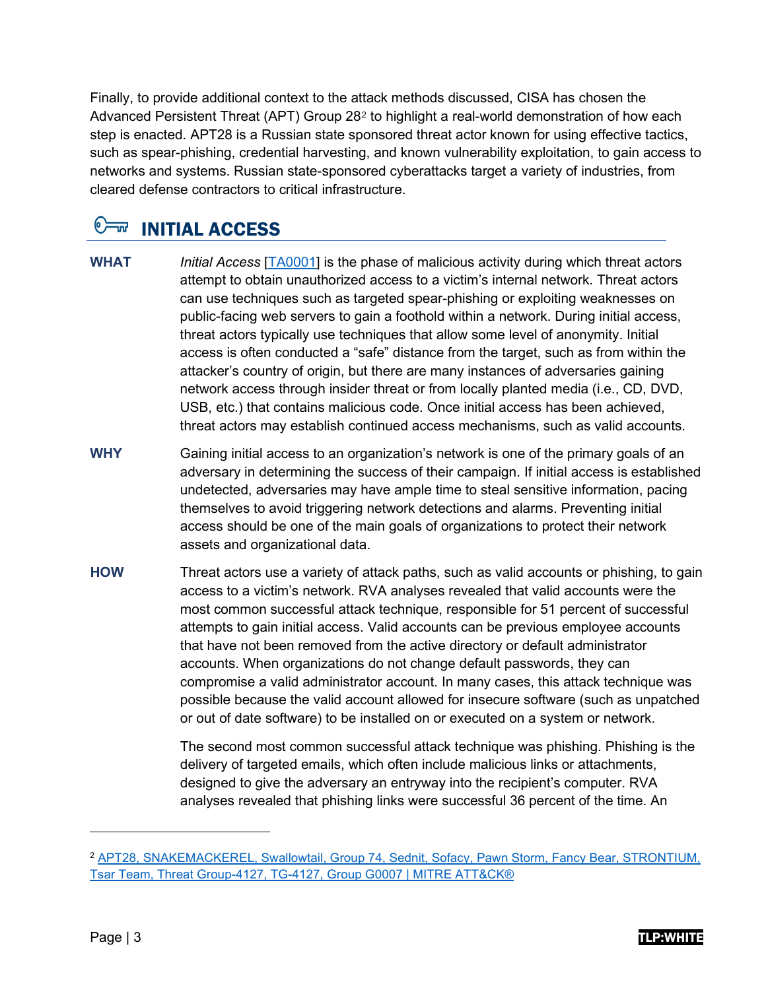Finally, to provide additional context to the attack methods discussed, CISA has chosen the Advanced Persistent Threat (APT) Group 28[2](#page-3-0) to highlight a real-world demonstration of how each step is enacted. APT28 is a Russian state sponsored threat actor known for using effective tactics, such as spear-phishing, credential harvesting, and known vulnerability exploitation, to gain access to networks and systems. Russian state-sponsored cyberattacks target a variety of industries, from cleared defense contractors to critical infrastructure.

# **OW INITIAL ACCESS**

- **WHAT** *Initial Access* [\[TA0001\]](https://attack.mitre.org/versions/v10/tactics/TA0001/) is the phase of malicious activity during which threat actors attempt to obtain unauthorized access to a victim's internal network. Threat actors can use techniques such as targeted spear-phishing or exploiting weaknesses on public-facing web servers to gain a foothold within a network. During initial access, threat actors typically use techniques that allow some level of anonymity. Initial access is often conducted a "safe" distance from the target, such as from within the attacker's country of origin, but there are many instances of adversaries gaining network access through insider threat or from locally planted media (i.e., CD, DVD, USB, etc.) that contains malicious code. Once initial access has been achieved, threat actors may establish continued access mechanisms, such as valid accounts.
- **WHY** Gaining initial access to an organization's network is one of the primary goals of an adversary in determining the success of their campaign. If initial access is established undetected, adversaries may have ample time to steal sensitive information, pacing themselves to avoid triggering network detections and alarms. Preventing initial access should be one of the main goals of organizations to protect their network assets and organizational data.
- **HOW** Threat actors use a variety of attack paths, such as valid accounts or phishing, to gain access to a victim's network. RVA analyses revealed that valid accounts were the most common successful attack technique, responsible for 51 percent of successful attempts to gain initial access. Valid accounts can be previous employee accounts that have not been removed from the active directory or default administrator accounts. When organizations do not change default passwords, they can compromise a valid administrator account. In many cases, this attack technique was possible because the valid account allowed for insecure software (such as unpatched or out of date software) to be installed on or executed on a system or network.

The second most common successful attack technique was phishing. Phishing is the delivery of targeted emails, which often include malicious links or attachments, designed to give the adversary an entryway into the recipient's computer. RVA analyses revealed that phishing links were successful 36 percent of the time. An



<span id="page-3-0"></span><sup>2</sup> [APT28, SNAKEMACKEREL, Swallowtail, Group 74, Sednit, Sofacy, Pawn Storm, Fancy Bear, STRONTIUM,](https://attack.mitre.org/groups/G0007/)  [Tsar Team, Threat Group-4127, TG-4127, Group G0007 | MITRE ATT&CK®](https://attack.mitre.org/groups/G0007/)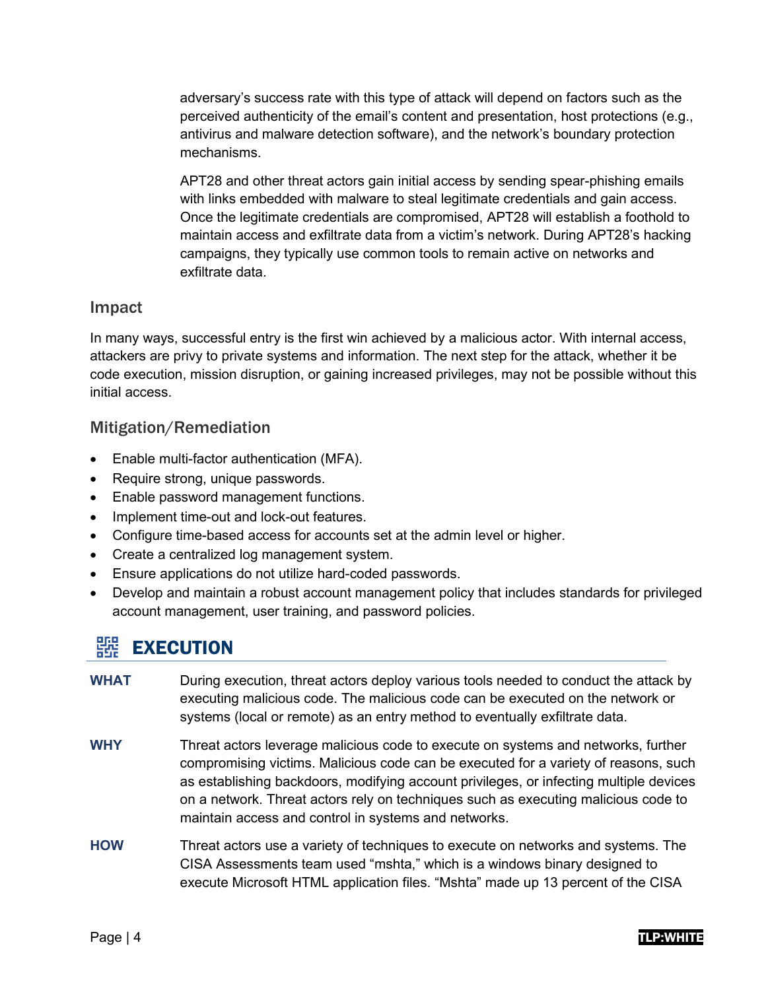adversary's success rate with this type of attack will depend on factors such as the perceived authenticity of the email's content and presentation, host protections (e.g., antivirus and malware detection software), and the network's boundary protection mechanisms.

APT28 and other threat actors gain initial access by sending spear-phishing emails with links embedded with malware to steal legitimate credentials and gain access. Once the legitimate credentials are compromised, APT28 will establish a foothold to maintain access and exfiltrate data from a victim's network. During APT28's hacking campaigns, they typically use common tools to remain active on networks and exfiltrate data.

## Impact

In many ways, successful entry is the first win achieved by a malicious actor. With internal access, attackers are privy to private systems and information. The next step for the attack, whether it be code execution, mission disruption, or gaining increased privileges, may not be possible without this initial access.

## Mitigation/Remediation

- Enable multi-factor authentication (MFA).
- Require strong, unique passwords.
- Enable password management functions.
- Implement time-out and lock-out features.
- Configure time-based access for accounts set at the admin level or higher.
- Create a centralized log management system.
- Ensure applications do not utilize hard-coded passwords.
- Develop and maintain a robust account management policy that includes standards for privileged account management, user training, and password policies.

# 器 EXECUTION

- **WHAT** During execution, threat actors deploy various tools needed to conduct the attack by executing malicious code. The malicious code can be executed on the network or systems (local or remote) as an entry method to eventually exfiltrate data.
- **WHY** Threat actors leverage malicious code to execute on systems and networks, further compromising victims. Malicious code can be executed for a variety of reasons, such as establishing backdoors, modifying account privileges, or infecting multiple devices on a network. Threat actors rely on techniques such as executing malicious code to maintain access and control in systems and networks.
- **HOW** Threat actors use a variety of techniques to execute on networks and systems. The CISA Assessments team used "mshta," which is a windows binary designed to execute Microsoft HTML application files. "Mshta" made up 13 percent of the CISA

## Page | 4 T**LP:WHITE**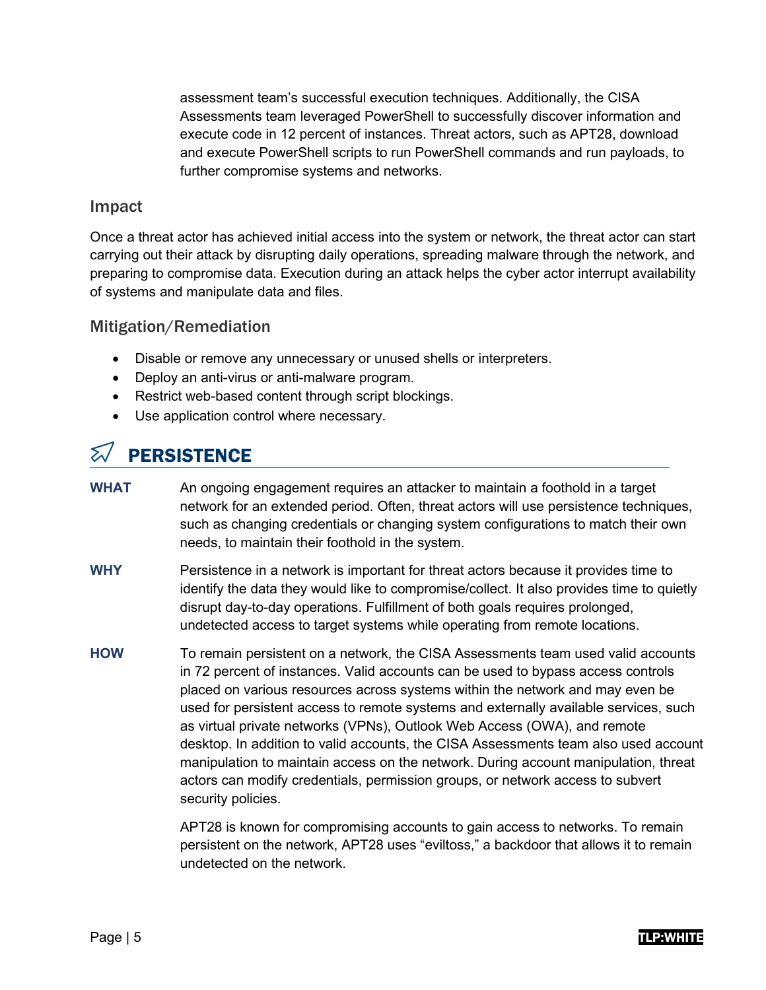assessment team's successful execution techniques. Additionally, the CISA Assessments team leveraged PowerShell to successfully discover information and execute code in 12 percent of instances. Threat actors, such as APT28, download and execute PowerShell scripts to run PowerShell commands and run payloads, to further compromise systems and networks.

## Impact

Once a threat actor has achieved initial access into the system or network, the threat actor can start carrying out their attack by disrupting daily operations, spreading malware through the network, and preparing to compromise data. Execution during an attack helps the cyber actor interrupt availability of systems and manipulate data and files.

## Mitigation/Remediation

- Disable or remove any unnecessary or unused shells or interpreters.
- Deploy an anti-virus or anti-malware program.
- Restrict web-based content through script blockings.
- Use application control where necessary.

# $\mathbb{Z}/\mathbb{P}$ ERSISTENCE

- **WHAT** An ongoing engagement requires an attacker to maintain a foothold in a target network for an extended period. Often, threat actors will use persistence techniques, such as changing credentials or changing system configurations to match their own needs, to maintain their foothold in the system.
- **WHY** Persistence in a network is important for threat actors because it provides time to identify the data they would like to compromise/collect. It also provides time to quietly disrupt day-to-day operations. Fulfillment of both goals requires prolonged, undetected access to target systems while operating from remote locations.
- **HOW** To remain persistent on a network, the CISA Assessments team used valid accounts in 72 percent of instances. Valid accounts can be used to bypass access controls placed on various resources across systems within the network and may even be used for persistent access to remote systems and externally available services, such as virtual private networks (VPNs), Outlook Web Access (OWA), and remote desktop. In addition to valid accounts, the CISA Assessments team also used account manipulation to maintain access on the network. During account manipulation, threat actors can modify credentials, permission groups, or network access to subvert security policies.

APT28 is known for compromising accounts to gain access to networks. To remain persistent on the network, APT28 uses "eviltoss," a backdoor that allows it to remain undetected on the network.

### Page | 5 TLP:WHITE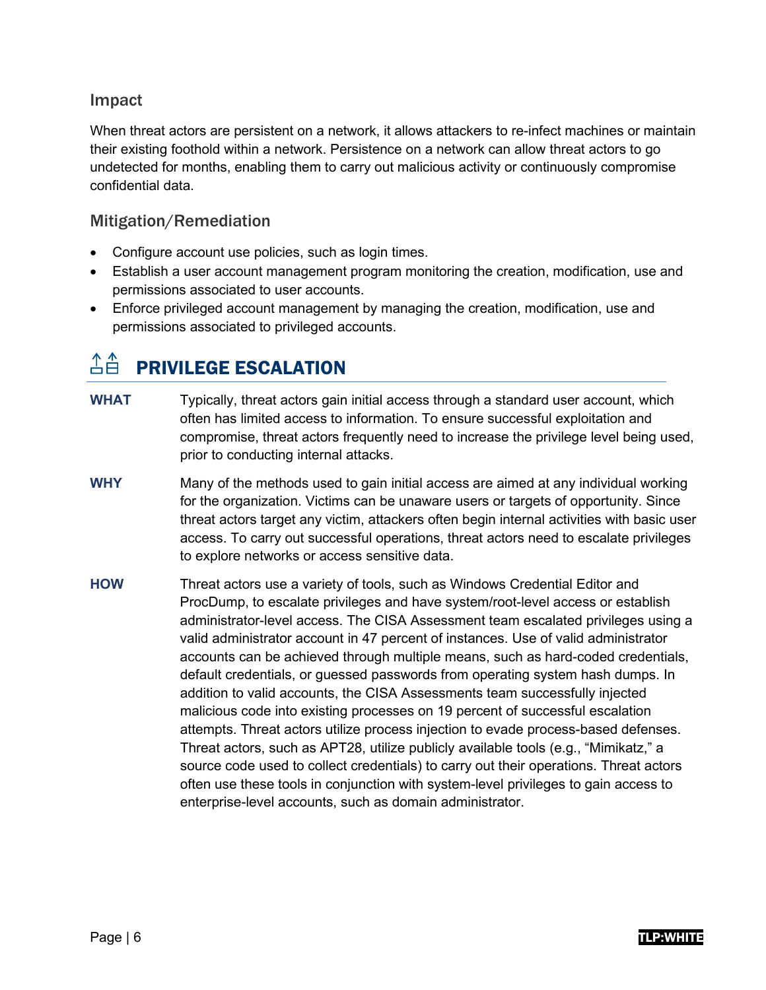## Impact

When threat actors are persistent on a network, it allows attackers to re-infect machines or maintain their existing foothold within a network. Persistence on a network can allow threat actors to go undetected for months, enabling them to carry out malicious activity or continuously compromise confidential data.

## Mitigation/Remediation

- Configure account use policies, such as login times.
- Establish a user account management program monitoring the creation, modification, use and permissions associated to user accounts.
- Enforce privileged account management by managing the creation, modification, use and permissions associated to privileged accounts.

# $\hat{\triangle} \hat{\triangle}$  PRIVILEGE ESCALATION

- **WHAT** Typically, threat actors gain initial access through a standard user account, which often has limited access to information. To ensure successful exploitation and compromise, threat actors frequently need to increase the privilege level being used, prior to conducting internal attacks.
- **WHY** Many of the methods used to gain initial access are aimed at any individual working for the organization. Victims can be unaware users or targets of opportunity. Since threat actors target any victim, attackers often begin internal activities with basic user access. To carry out successful operations, threat actors need to escalate privileges to explore networks or access sensitive data.
- **HOW** Threat actors use a variety of tools, such as Windows Credential Editor and ProcDump, to escalate privileges and have system/root-level access or establish administrator-level access. The CISA Assessment team escalated privileges using a valid administrator account in 47 percent of instances. Use of valid administrator accounts can be achieved through multiple means, such as hard-coded credentials, default credentials, or guessed passwords from operating system hash dumps. In addition to valid accounts, the CISA Assessments team successfully injected malicious code into existing processes on 19 percent of successful escalation attempts. Threat actors utilize process injection to evade process-based defenses. Threat actors, such as APT28, utilize publicly available tools (e.g., "Mimikatz," a source code used to collect credentials) to carry out their operations. Threat actors often use these tools in conjunction with system-level privileges to gain access to enterprise-level accounts, such as domain administrator.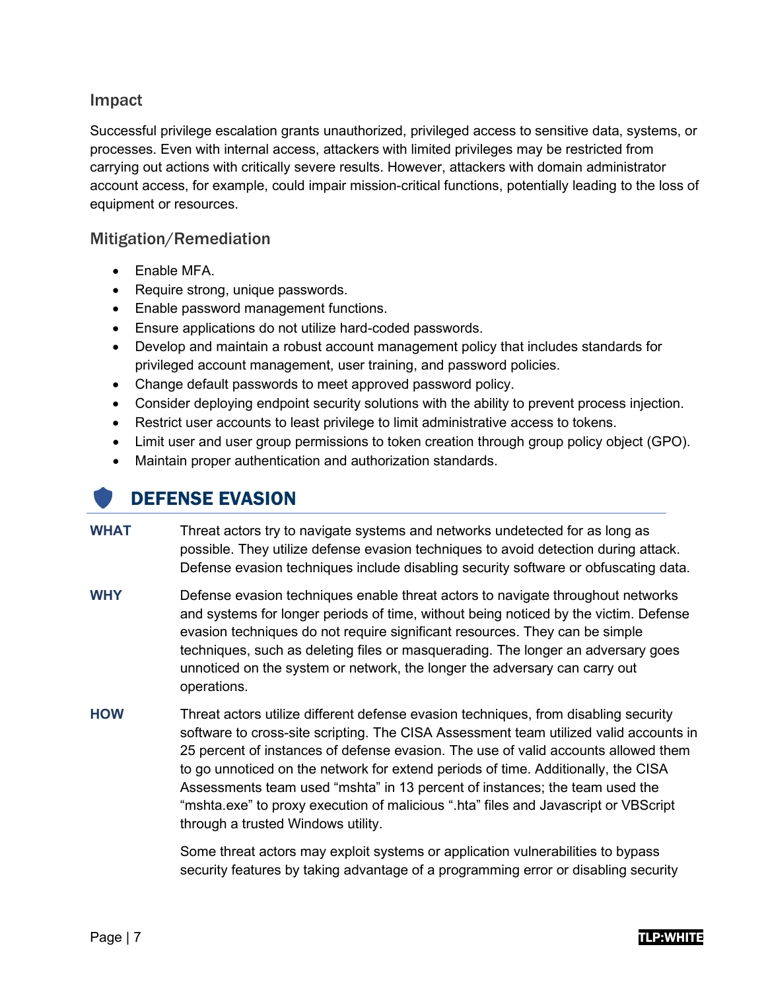## Impact

Successful privilege escalation grants unauthorized, privileged access to sensitive data, systems, or processes. Even with internal access, attackers with limited privileges may be restricted from carrying out actions with critically severe results. However, attackers with domain administrator account access, for example, could impair mission-critical functions, potentially leading to the loss of equipment or resources.

## Mitigation/Remediation

- Enable MFA.
- Require strong, unique passwords.
- Enable password management functions.
- Ensure applications do not utilize hard-coded passwords.
- Develop and maintain a robust account management policy that includes standards for privileged account management, user training, and password policies.
- Change default passwords to meet approved password policy.
- Consider deploying endpoint security solutions with the ability to prevent process injection.
- Restrict user accounts to least privilege to limit administrative access to tokens.
- Limit user and user group permissions to token creation through group policy object (GPO).
- Maintain proper authentication and authorization standards.

# DEFENSE EVASION

- **WHAT** Threat actors try to navigate systems and networks undetected for as long as possible. They utilize defense evasion techniques to avoid detection during attack. Defense evasion techniques include disabling security software or obfuscating data.
- **WHY** Defense evasion techniques enable threat actors to navigate throughout networks and systems for longer periods of time, without being noticed by the victim. Defense evasion techniques do not require significant resources. They can be simple techniques, such as deleting files or masquerading. The longer an adversary goes unnoticed on the system or network, the longer the adversary can carry out operations.
- **HOW** Threat actors utilize different defense evasion techniques, from disabling security software to cross-site scripting. The CISA Assessment team utilized valid accounts in 25 percent of instances of defense evasion. The use of valid accounts allowed them to go unnoticed on the network for extend periods of time. Additionally, the CISA Assessments team used "mshta" in 13 percent of instances; the team used the "mshta.exe" to proxy execution of malicious ".hta" files and Javascript or VBScript through a trusted Windows utility.

Some threat actors may exploit systems or application vulnerabilities to bypass security features by taking advantage of a programming error or disabling security

### Page | 7 TLP:WHITE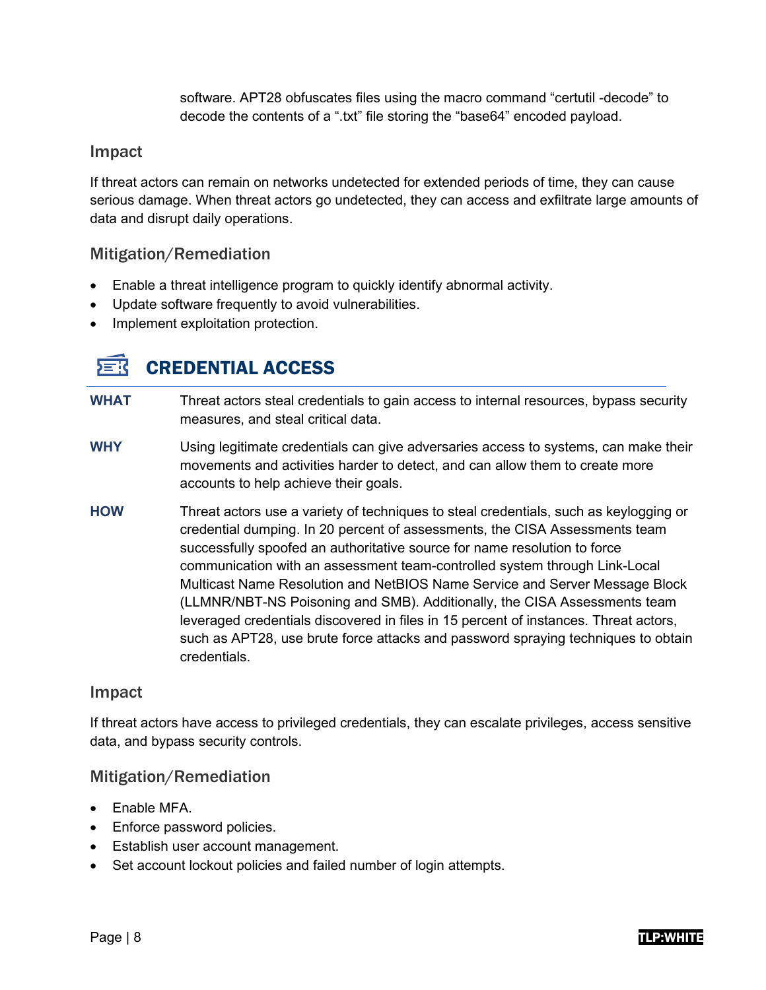software. APT28 obfuscates files using the macro command "certutil -decode" to decode the contents of a ".txt" file storing the "base64" encoded payload.

## Impact

If threat actors can remain on networks undetected for extended periods of time, they can cause serious damage. When threat actors go undetected, they can access and exfiltrate large amounts of data and disrupt daily operations.

## Mitigation/Remediation

- Enable a threat intelligence program to quickly identify abnormal activity.
- Update software frequently to avoid vulnerabilities.
- Implement exploitation protection.

#### 左式 CREDENTIAL ACCESS

- **WHAT** Threat actors steal credentials to gain access to internal resources, bypass security measures, and steal critical data.
- **WHY** Using legitimate credentials can give adversaries access to systems, can make their movements and activities harder to detect, and can allow them to create more accounts to help achieve their goals.
- **HOW** Threat actors use a variety of techniques to steal credentials, such as keylogging or credential dumping. In 20 percent of assessments, the CISA Assessments team successfully spoofed an authoritative source for name resolution to force communication with an assessment team-controlled system through Link-Local Multicast Name Resolution and NetBIOS Name Service and Server Message Block (LLMNR/NBT-NS Poisoning and SMB). Additionally, the CISA Assessments team leveraged credentials discovered in files in 15 percent of instances. Threat actors, such as APT28, use brute force attacks and password spraying techniques to obtain credentials.

## Impact

If threat actors have access to privileged credentials, they can escalate privileges, access sensitive data, and bypass security controls.

## Mitigation/Remediation

- Enable MFA.
- Enforce password policies.
- Establish user account management.
- Set account lockout policies and failed number of login attempts.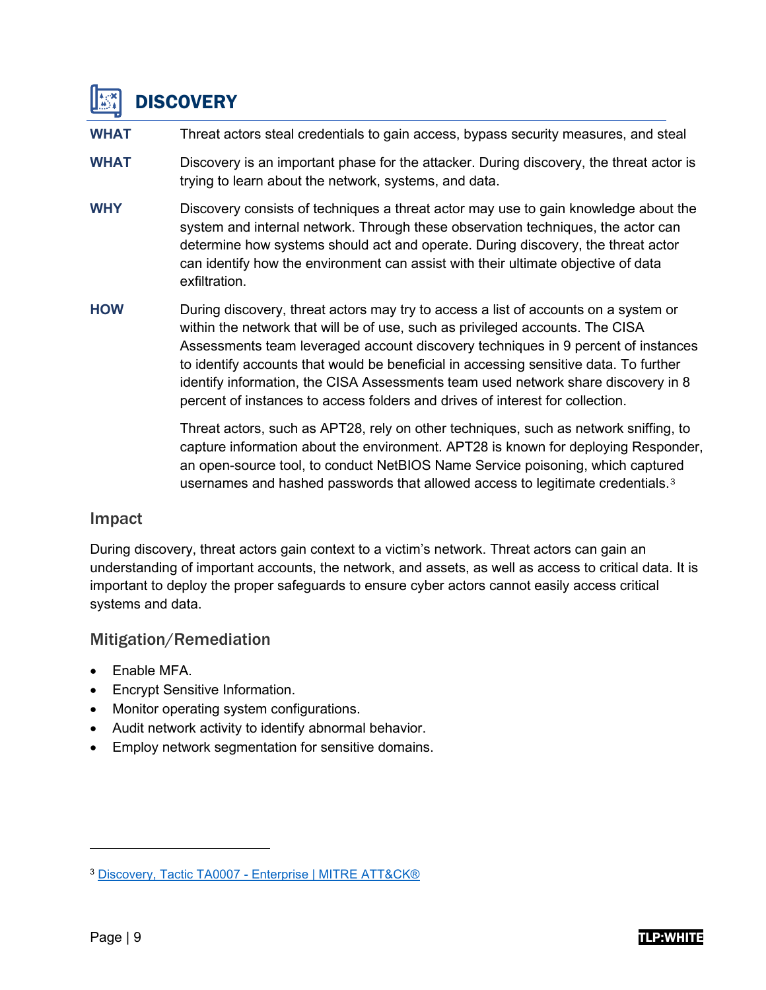

**WHAT** Threat actors steal credentials to gain access, bypass security measures, and steal

- **WHAT** Discovery is an important phase for the attacker. During discovery, the threat actor is trying to learn about the network, systems, and data.
- **WHY** Discovery consists of techniques a threat actor may use to gain knowledge about the system and internal network. Through these observation techniques, the actor can determine how systems should act and operate. During discovery, the threat actor can identify how the environment can assist with their ultimate objective of data exfiltration.
- **HOW** During discovery, threat actors may try to access a list of accounts on a system or within the network that will be of use, such as privileged accounts. The CISA Assessments team leveraged account discovery techniques in 9 percent of instances to identify accounts that would be beneficial in accessing sensitive data. To further identify information, the CISA Assessments team used network share discovery in 8 percent of instances to access folders and drives of interest for collection.

Threat actors, such as APT28, rely on other techniques, such as network sniffing, to capture information about the environment. APT28 is known for deploying Responder, an open-source tool, to conduct NetBIOS Name Service poisoning, which captured usernames and hashed passwords that allowed access to legitimate credentials.[3](#page-9-0)

## Impact

During discovery, threat actors gain context to a victim's network. Threat actors can gain an understanding of important accounts, the network, and assets, as well as access to critical data. It is important to deploy the proper safeguards to ensure cyber actors cannot easily access critical systems and data.

## Mitigation/Remediation

- Enable MFA.
- Encrypt Sensitive Information.
- Monitor operating system configurations.
- Audit network activity to identify abnormal behavior.
- Employ network segmentation for sensitive domains.

<span id="page-9-0"></span><sup>3</sup> [Discovery, Tactic TA0007 - Enterprise | MITRE ATT&CK®](https://attack.mitre.org/tactics/TA0007/)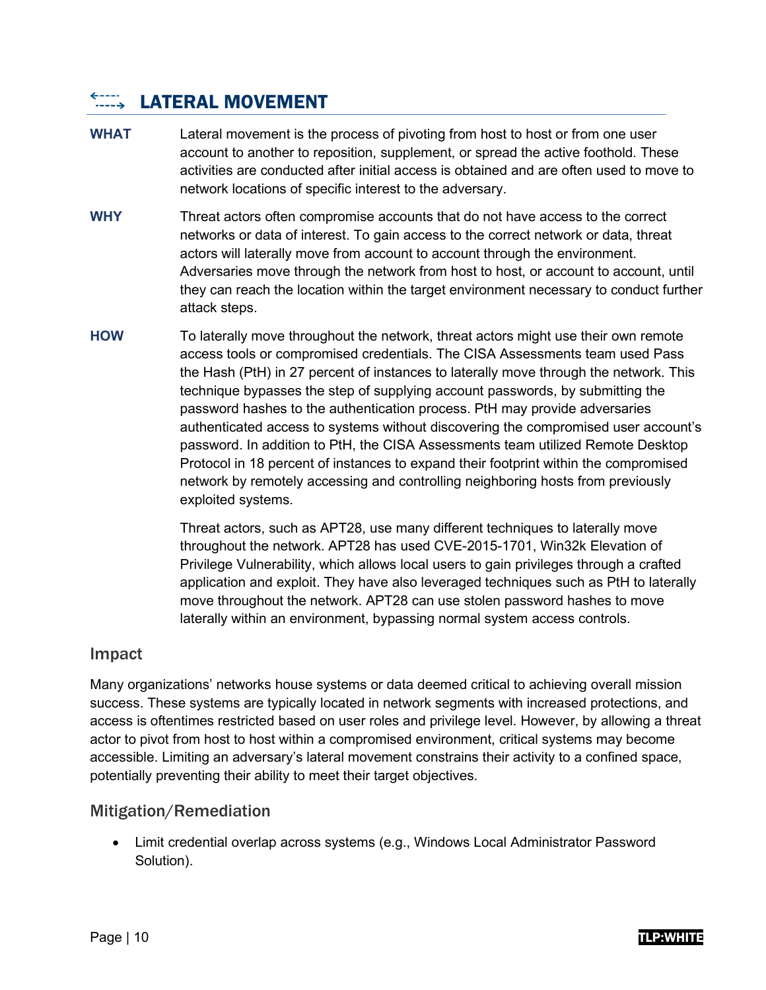#### $\leftarrow$ ----**LATERAL MOVEMENT**

- **WHAT** Lateral movement is the process of pivoting from host to host or from one user account to another to reposition, supplement, or spread the active foothold. These activities are conducted after initial access is obtained and are often used to move to network locations of specific interest to the adversary.
- **WHY** Threat actors often compromise accounts that do not have access to the correct networks or data of interest. To gain access to the correct network or data, threat actors will laterally move from account to account through the environment. Adversaries move through the network from host to host, or account to account, until they can reach the location within the target environment necessary to conduct further attack steps.
- **HOW** To laterally move throughout the network, threat actors might use their own remote access tools or compromised credentials. The CISA Assessments team used Pass the Hash (PtH) in 27 percent of instances to laterally move through the network. This technique bypasses the step of supplying account passwords, by submitting the password hashes to the authentication process. PtH may provide adversaries authenticated access to systems without discovering the compromised user account's password. In addition to PtH, the CISA Assessments team utilized Remote Desktop Protocol in 18 percent of instances to expand their footprint within the compromised network by remotely accessing and controlling neighboring hosts from previously exploited systems.

Threat actors, such as APT28, use many different techniques to laterally move throughout the network. APT28 has used CVE-2015-1701, Win32k Elevation of Privilege Vulnerability, which allows local users to gain privileges through a crafted application and exploit. They have also leveraged techniques such as PtH to laterally move throughout the network. APT28 can use stolen password hashes to move laterally within an environment, bypassing normal system access controls.

## Impact

Many organizations' networks house systems or data deemed critical to achieving overall mission success. These systems are typically located in network segments with increased protections, and access is oftentimes restricted based on user roles and privilege level. However, by allowing a threat actor to pivot from host to host within a compromised environment, critical systems may become accessible. Limiting an adversary's lateral movement constrains their activity to a confined space, potentially preventing their ability to meet their target objectives.

## Mitigation/Remediation

• Limit credential overlap across systems (e.g., Windows Local Administrator Password Solution).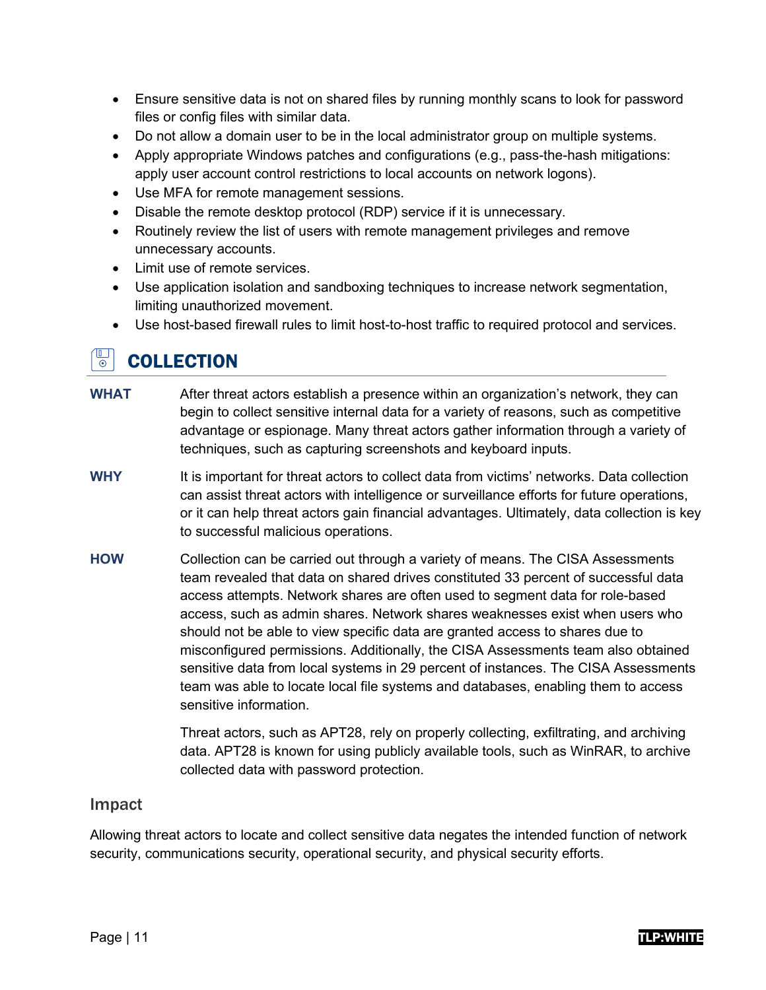- Ensure sensitive data is not on shared files by running monthly scans to look for password files or config files with similar data.
- Do not allow a domain user to be in the local administrator group on multiple systems.
- Apply appropriate Windows patches and configurations (e.g., pass-the-hash mitigations: apply user account control restrictions to local accounts on network logons).
- Use MFA for remote management sessions.
- Disable the remote desktop protocol (RDP) service if it is unnecessary.
- Routinely review the list of users with remote management privileges and remove unnecessary accounts.
- Limit use of remote services.
- Use application isolation and sandboxing techniques to increase network segmentation, limiting unauthorized movement.
- Use host-based firewall rules to limit host-to-host traffic to required protocol and services.

#### $\overline{\mathbb{P}}$ **COLLECTION**

- **WHAT** After threat actors establish a presence within an organization's network, they can begin to collect sensitive internal data for a variety of reasons, such as competitive advantage or espionage. Many threat actors gather information through a variety of techniques, such as capturing screenshots and keyboard inputs.
- **WHY** It is important for threat actors to collect data from victims' networks. Data collection can assist threat actors with intelligence or surveillance efforts for future operations, or it can help threat actors gain financial advantages. Ultimately, data collection is key to successful malicious operations.
- **HOW** Collection can be carried out through a variety of means. The CISA Assessments team revealed that data on shared drives constituted 33 percent of successful data access attempts. Network shares are often used to segment data for role-based access, such as admin shares. Network shares weaknesses exist when users who should not be able to view specific data are granted access to shares due to misconfigured permissions. Additionally, the CISA Assessments team also obtained sensitive data from local systems in 29 percent of instances. The CISA Assessments team was able to locate local file systems and databases, enabling them to access sensitive information.

Threat actors, such as APT28, rely on properly collecting, exfiltrating, and archiving data. APT28 is known for using publicly available tools, such as WinRAR, to archive collected data with password protection.

## Impact

Allowing threat actors to locate and collect sensitive data negates the intended function of network security, communications security, operational security, and physical security efforts.

### Page | 11 T**LP:WHITE**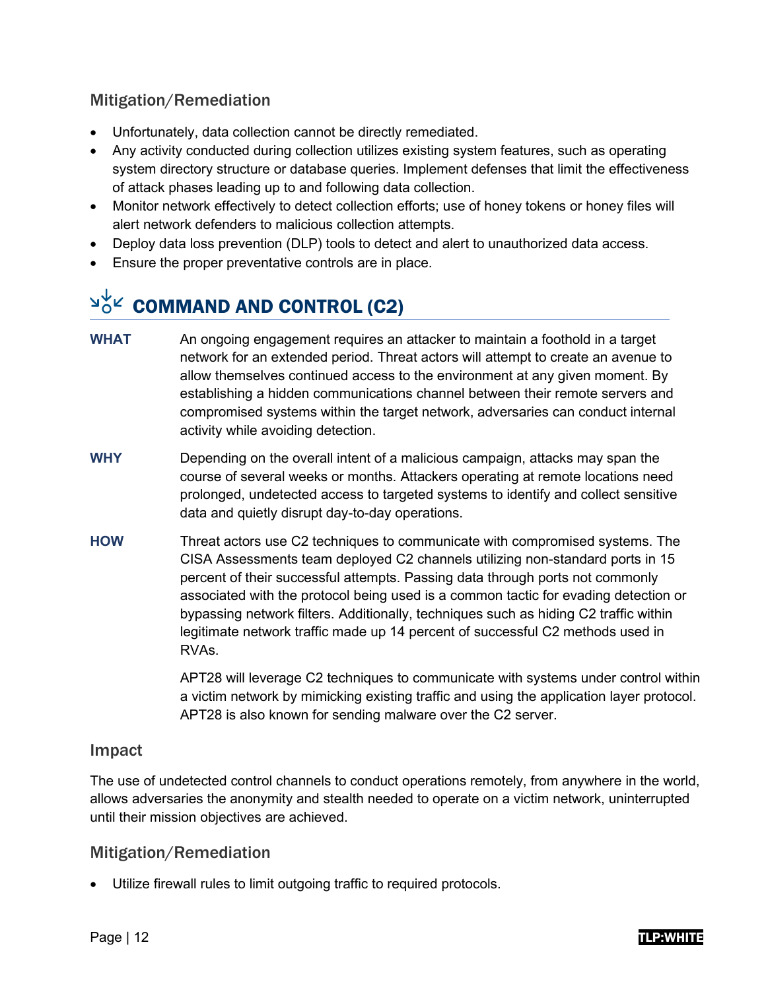## Mitigation/Remediation

- Unfortunately, data collection cannot be directly remediated.
- Any activity conducted during collection utilizes existing system features, such as operating system directory structure or database queries. Implement defenses that limit the effectiveness of attack phases leading up to and following data collection.
- Monitor network effectively to detect collection efforts; use of honey tokens or honey files will alert network defenders to malicious collection attempts.
- Deploy data loss prevention (DLP) tools to detect and alert to unauthorized data access.
- Ensure the proper preventative controls are in place.

# $\frac{d^{2}C}{dt^{2}}$  COMMAND AND CONTROL (C2)

- **WHAT** An ongoing engagement requires an attacker to maintain a foothold in a target network for an extended period. Threat actors will attempt to create an avenue to allow themselves continued access to the environment at any given moment. By establishing a hidden communications channel between their remote servers and compromised systems within the target network, adversaries can conduct internal activity while avoiding detection.
- **WHY** Depending on the overall intent of a malicious campaign, attacks may span the course of several weeks or months. Attackers operating at remote locations need prolonged, undetected access to targeted systems to identify and collect sensitive data and quietly disrupt day-to-day operations.
- **HOW** Threat actors use C2 techniques to communicate with compromised systems. The CISA Assessments team deployed C2 channels utilizing non-standard ports in 15 percent of their successful attempts. Passing data through ports not commonly associated with the protocol being used is a common tactic for evading detection or bypassing network filters. Additionally, techniques such as hiding C2 traffic within legitimate network traffic made up 14 percent of successful C2 methods used in RVAs.

APT28 will leverage C2 techniques to communicate with systems under control within a victim network by mimicking existing traffic and using the application layer protocol. APT28 is also known for sending malware over the C2 server.

## Impact

The use of undetected control channels to conduct operations remotely, from anywhere in the world, allows adversaries the anonymity and stealth needed to operate on a victim network, uninterrupted until their mission objectives are achieved.

## Mitigation/Remediation

• Utilize firewall rules to limit outgoing traffic to required protocols.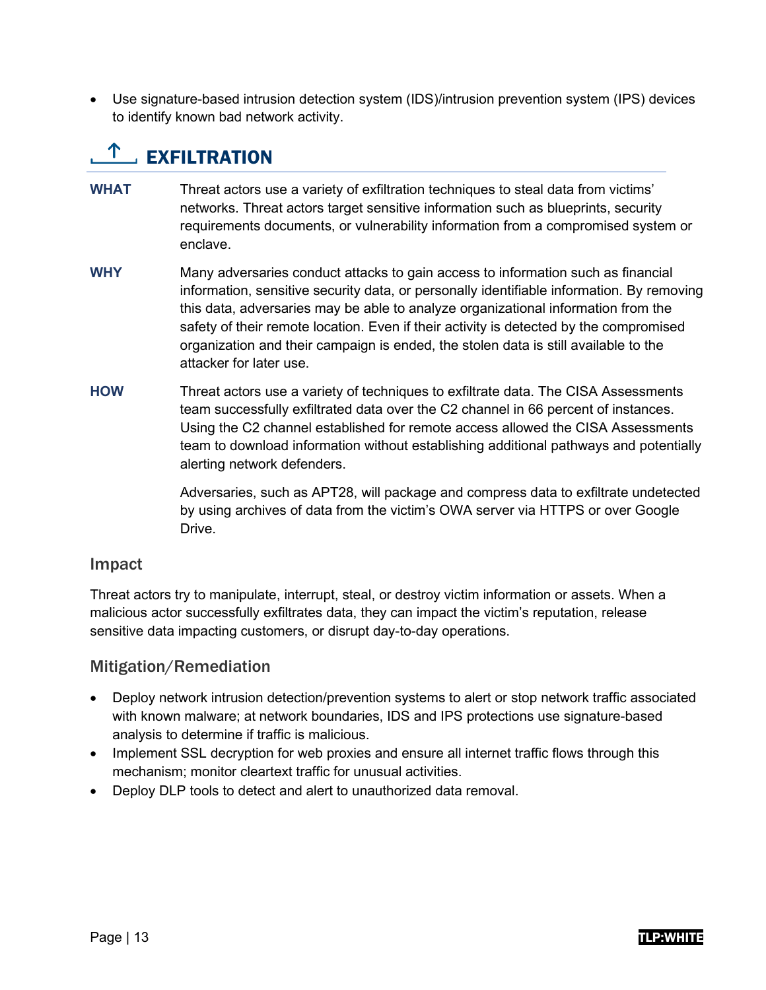• Use signature-based intrusion detection system (IDS)/intrusion prevention system (IPS) devices to identify known bad network activity.

# $T_{\text{max}}$  EXFILTRATION

- **WHAT** Threat actors use a variety of exfiltration techniques to steal data from victims' networks. Threat actors target sensitive information such as blueprints, security requirements documents, or vulnerability information from a compromised system or enclave.
- **WHY** Many adversaries conduct attacks to gain access to information such as financial information, sensitive security data, or personally identifiable information. By removing this data, adversaries may be able to analyze organizational information from the safety of their remote location. Even if their activity is detected by the compromised organization and their campaign is ended, the stolen data is still available to the attacker for later use.
- **HOW** Threat actors use a variety of techniques to exfiltrate data. The CISA Assessments team successfully exfiltrated data over the C2 channel in 66 percent of instances. Using the C2 channel established for remote access allowed the CISA Assessments team to download information without establishing additional pathways and potentially alerting network defenders.

Adversaries, such as APT28, will package and compress data to exfiltrate undetected by using archives of data from the victim's OWA server via HTTPS or over Google Drive.

## Impact

Threat actors try to manipulate, interrupt, steal, or destroy victim information or assets. When a malicious actor successfully exfiltrates data, they can impact the victim's reputation, release sensitive data impacting customers, or disrupt day-to-day operations.

## Mitigation/Remediation

- Deploy network intrusion detection/prevention systems to alert or stop network traffic associated with known malware; at network boundaries, IDS and IPS protections use signature-based analysis to determine if traffic is malicious.
- Implement SSL decryption for web proxies and ensure all internet traffic flows through this mechanism; monitor cleartext traffic for unusual activities.
- Deploy DLP tools to detect and alert to unauthorized data removal.